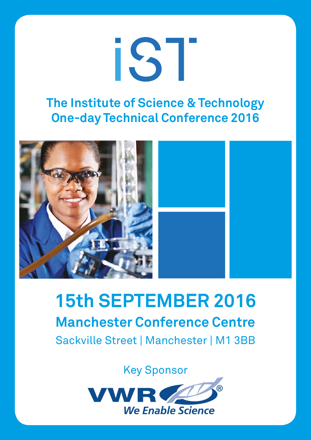

## **The Institute of Science & Technology One-day Technical Conference 2016**



# **15th SEPTEMBER 2016 Manchester Conference Centre** Sackville Street | Manchester | M1 3BB

Key Sponsor

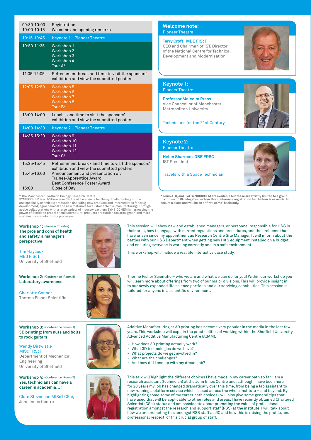| 09:30-10:00<br>10:00-10:15          | Registration<br>Welcome and opening remarks                                                                                                                                                                              |
|-------------------------------------|--------------------------------------------------------------------------------------------------------------------------------------------------------------------------------------------------------------------------|
| 10:15-10:45                         | <b>Keynote 1 - Pioneer Theatre</b>                                                                                                                                                                                       |
| 10:50-11:35                         | Workshop 1<br><b>Workshop 2</b><br><b>Workshop 3</b><br>Workshop 4<br>Tour A*                                                                                                                                            |
| 11:35-12:05                         | Refreshment break and time to visit the sponsors'<br>exhibition and view the submitted posters                                                                                                                           |
| 12:05-12:50                         | <b>Workshop 5</b><br>Workshop 6<br><b>Workshop 7</b><br><b>Workshop 8</b><br>Tour B*                                                                                                                                     |
| 13:00-14:00                         | Lunch - and time to visit the sponsors'<br>exhibition and view the submitted posters                                                                                                                                     |
| 14:00-14:30                         | <b>Keynote 2 - Pioneer Theatre</b>                                                                                                                                                                                       |
| 14:35-15:20                         | Workshop 9<br>Workshop 10<br>Workshop 11<br>Workshop 12<br>Tour C*                                                                                                                                                       |
| 15:25-15:45<br>15:45-16:00<br>16:00 | Refreshment break - and time to visit the sponsors'<br>exhibition and view the submitted posters<br>Announcement and presentation of:<br>Trainee/Apprentice Award<br><b>Best Conference Poster Award</b><br>Close of Day |

\* The Manchester Synthetic Biology Research Centre SYNBIOCHEM is a UK/European Centre of Excellence for the synthetic Biology of fine and speciality chemicals production (including new products and intermediates for drug<br>development, agrochemical and new materials for sustainable bio-manufacturing). Through<br>active collaborations with a large variety of i power of SynBio to propel chemicals/natural products production towards 'green' and more sustainable manufacturing processes.

**Welcome note:**  Pioneer Theatre

#### **Terry Croft, MBE FIScT**

CEO and Chairman of IST, Director of the National Centre for Technical Development and Modernisation



**Keynote 1:**  Pioneer Theatre

**Professor Malcolm Press** Vice Chancellor of Manchester Metropolitan University

#### Technicians for the 21st Century

**Keynote 2:** Pioneer Theatre

**Helen Sharman OBE FRSC** IST President

Travels with a Space Technician



\* Tours A, B, and C of SYNBIOCHEM are available but these are strictly limited to a group<br>maximum of 10 delegates per tour. Pre conference registration for the tour is essential to<br>secure a place and will be on a "first-co

**Workshop 1:** (Pioneer Theatre) **The pros and cons of health and safety, a manager's perspective**

Tim Haycock MEd FIScT University of Sheffield

**Workshop 2:** (Conference Room 5) **Laboratory awareness**

Charlotte Connor Thermo Fisher Scientific



This session will show new and established managers, or personnel responsible for H&S in their area, how to engage with current regulations and procedures, and the problems that have arisen since my appointment as Research Centre Site Manager. It will inform about the battles with our H&S Department when getting new H&S equipment installed on a budget, and ensuring everyone is working correctly and in a safe environment.

This workshop will include a real life interactive case study.



Thermo Fisher Scientific – who we are and what we can do for you! Within our workshop you will learn more about offerings from two of our major divisions. This will provide insight in to our newly expanded life science portfolio and our servicing capabilities. This session is tailored for anyone in a scientific environment.

**Workshop 3:** (Conference Room 1) **3D printing: from nuts and bolts to rock guitars**

Wendy Birtwistle MIScT RSci Department of Mechanical Engineering University of Sheffield

**Workshop 4:**  (Conference Room 7) **Yes, technicians can have a career in academia…!** 

Clare Stevenson MIScT CSci, John Innes Centre



- How does 3D printing actually work?
- What 3D technologies do we have?<br>• What projects do we get involved in
- What projects do we get involved in?
- What are the challenges?
- And how did I end up with my dream job?



This talk will highlight the different choices I have made in my career path so far. I am a research assistant (technician) at the John Innes Centre and, although I have been here for 20 years my job has changed dramatically over this time, from being a lab assistant to now running a platform service which is used across the whole institute – and beyond. By highlighting some some of my career path choices I will also give some general tips that I have used that will be applicable to other roles and areas. I have recently obtained Chartered Scientist (CSci) status and am passionate about promoting the value of professional registration amongst the research and support staff (RSS) at the institute. I will talk about how we are promoting this amongst RSS staff at JIC and how this is raising the profile, and professional respect, of this crucial group of staff.

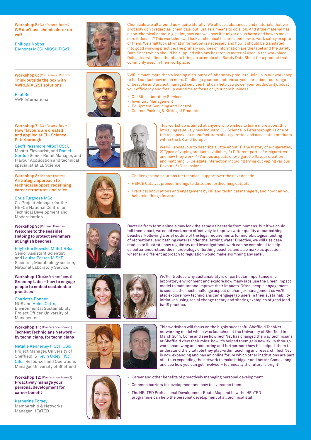**Workshop 5:**  (Conference Room 7) **WE don't use chemicals, or do we?**

Philippa Nobbs BA(hons) MCGI MIOSH FIScT

**Workshop 6:**  (Conference Room 5) **Think outside the box with VWRCATALYST solutions**

**Workshop 7:**  (Conference Room 1) **How flavours are created and applied at El - Science,** 

Geoff Passmore MIScT CSci, Master Flavourist, and Daniel Gordon Senior Retail Manager, and

**Workshop 8:**  (Pioneer Theatre) **A strategic approach to**

specialist at EL Science

**Peterborough**

Paul Bell VWR International



Chemicals are all around us – quite literally! We all use substances and materials that we probably don't regard as 'chemicals' but just as a means to do a job. And if the material has a non-chemical name, e.g. paint, how can we know if it might do us harm and how to make sure it doesn't? This workshop will look at chemical hazards and how to work safely in spite of them. We shall look at what information is necessary and how it should be translated into good working practice. The primary sources of information are the label and the Safety Data Sheet which should be supplied with any hazardous material used in the workplace. Delegates will find it helpful to bring an example of a Safety Data Sheet for a product that is commonly used in their workplace.



VWR is much more than a leading distributor of laboratory products. Join us in our workshop to find out just how much more. Challenge your perceptions as you learn about our range of bespoke and project managed services that can help you power your productivity, boost your efficiency and free up your time to focus on your core business.

- On-Site Laboratory Services
- Inventory Management
	- Equipment Servicing and Control
	- Custom Packing & Kitting of Products



This workshop is aimed at anyone who wishes to learn more about this intriguing relatively new industry. El - Science in Peterborough, is one of the top specialist manufacturers of e-cigarettes and associated products within the UK and Europe.

We will endeavour to describe a little about 1) The history of e-cigarettes, 2) Types of vaping products available, 3) Different parts of e-cigarettes and how they work, 4) Various aspects of e-cigarette flavour creation and matching, 5) Delegate interaction including trying out vaping various flavours 6) Discussions

- Challenges and solutions for technical support over the next decade
- HEFCE Catalyst project findings to date, and forthcoming outputs
- Practical implications and engagement by HR and technical managers, and how can you help take things forward.



Bacteria from farm animals may look the same as bacteria from humans, but if we could tell them apart, we could work more effectively to improve water quality at our bathing beaches. Following a brief outline of the legal requirements for microbiological testing of recreational and bathing waters under the Bathing Water Directive, we will use case studies to illustrate how regulatory and investigational work can be combined to help us better understand the microbiology of bathing beaches and also make us question whether a different approach to regulation would make swimming any safer.



We'll introduce why sustainability is of particular importance in a laboratory environment and explore how many labs use the Green Impact model to monitor and improve their impacts. Often, people engagement is seen as the most challenge aspect of change-management so we'll also explore how technicians can engage lab users in their sustainability initiatives using social change theory and sharing examples of good (and bad!) practice.



This workshop will focus on the highly successful Sheffield TechNet networking model which was launched at the University of Sheffield in March 2014. Come and see how TechNet has changed the way technicians at Sheffield view their roles; how it's helped them gain new skills through work shadowing and mentoring and furthermore how it's helped them to understand the vital role they play within teaching and research. TechNet is now expanding and has an online forum which other institutions are part of – thus expanding the network to make it bigger and better. Come along and see how you can get involved – technically the future is bright!

• Career and other benefits of proactively managing personal development

• The HEaTED Professional Development Route Map and how the HEaTED programme can help the personal development of all technical staff

• Common barriers to development and how to overcome them



Katherine Forsey Membership & Networks Manager, HEaTED

**career benefit**

**Workshop 10:**  (Conference Room 1) **Greening Labs – how to engage people to embed sustainable** 

Scientist, Microbiology section, National Laboratory Service,

**Workshop 11:**  (Conference Room 5) **TechNet Technicians Network – by technicians, for technicians**

Natalie Kennerley FIScT CSci, Project Manager, University of Sheffield, & Kevin Oxley FIScT CSci, Resources and Operations Manager, University of Sheffield

**at English beaches**

Chris Turgoose MSc, Co-Project Manager for the HEFCE National Centre for Technical Development and

Modernisation

**practices** 

Manchester

Charlotte Bonner NUS and Helen Cutts, Environmental Sustainability Project Officer, University of